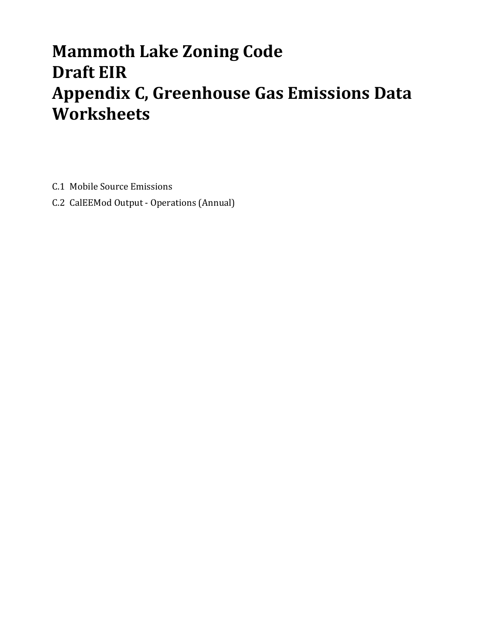# **Mammoth Lake Zoning Code Draft EIR Appendix C, Greenhouse Gas Emissions Data Worksheets**

C.1 Mobile Source Emissions

C.2 CalEEMod Output - Operations (Annual)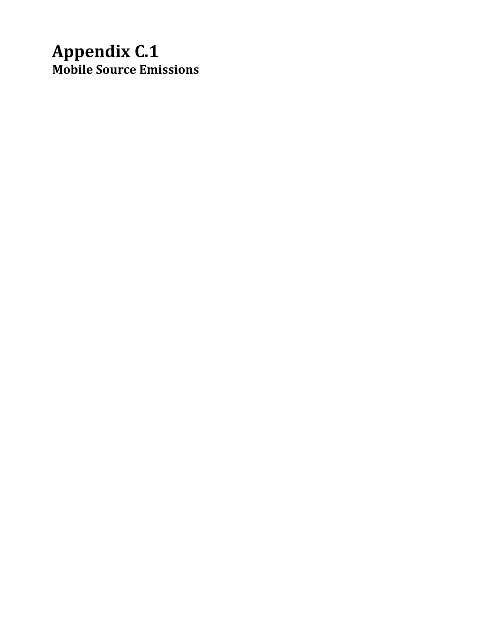## **Appendix C.1 Mobile Source Emissions**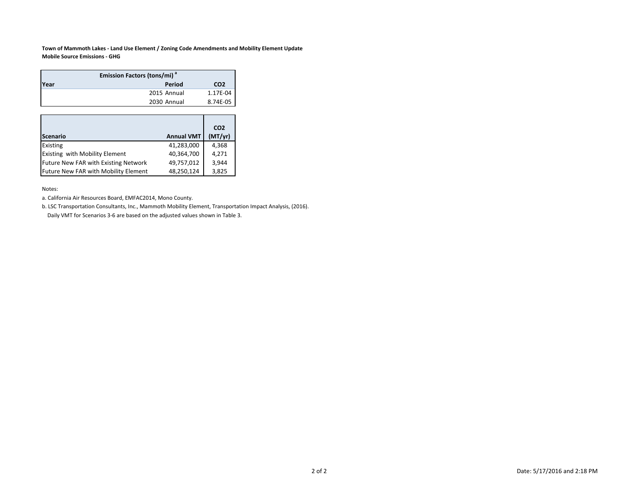**Town of Mammoth Lakes ‐ Land Use Element / Zoning Code Amendments and Mobility Element Update Mobile Source Emissions ‐ GHG**

| <b>Emission Factors (tons/mi)</b> <sup>ª</sup> |             |                 |  |  |  |  |  |  |
|------------------------------------------------|-------------|-----------------|--|--|--|--|--|--|
| Year                                           | Period      | CO <sub>2</sub> |  |  |  |  |  |  |
|                                                | 2015 Annual | 1.17E-04        |  |  |  |  |  |  |
|                                                | 2030 Annual | 8.74E-05        |  |  |  |  |  |  |

|                                             |                   | CO <sub>2</sub> |
|---------------------------------------------|-------------------|-----------------|
| <b>Scenario</b>                             | <b>Annual VMT</b> | (MT/yr)         |
| Existing                                    | 41,283,000        | 4,368           |
| <b>Existing with Mobility Element</b>       | 40,364,700        | 4,271           |
| <b>Future New FAR with Existing Network</b> | 49,757,012        | 3.944           |
| Future New FAR with Mobility Element        | 48,250,124        | 3,825           |

Notes:

a. California Air Resources Board, EMFAC2014, Mono County.

b. LSC Transportation Consultants, Inc., Mammoth Mobility Element, Transportation Impact Analysis, (2016). Daily VMT for Scenarios 3‐6 are based on the adjusted values shown in Table 3.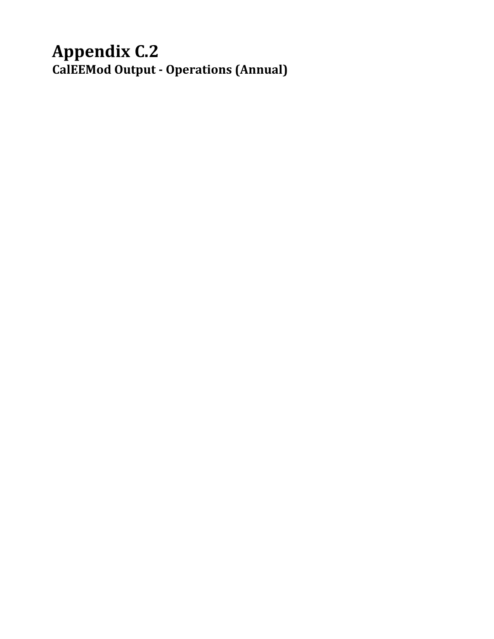## **Appendix C.2 CalEEMod Output ‐ Operations (Annual)**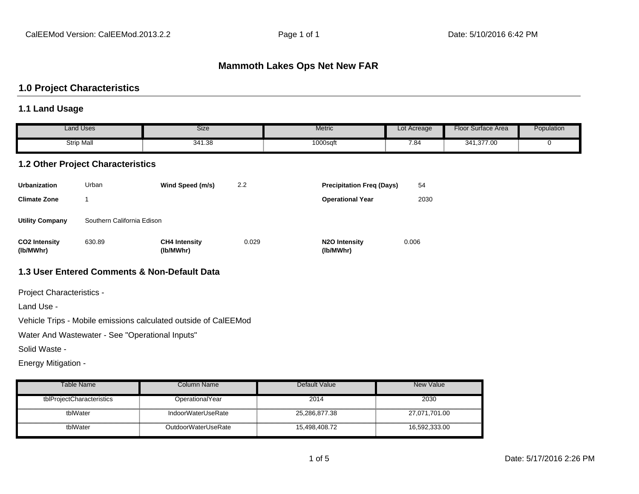#### **Mammoth Lakes Ops Net New FAR**

#### **1.0 Project Characteristics**

#### **1.1 Land Usage**

|                                   | <b>Land Uses</b>                         | <b>Size</b>                                  |       | <b>Metric</b>                           | Lot Acreage | Floor Surface Area | Population |
|-----------------------------------|------------------------------------------|----------------------------------------------|-------|-----------------------------------------|-------------|--------------------|------------|
|                                   | <b>Strip Mall</b>                        | 341.38                                       |       | 1000sqft                                | 7.84        | 341,377.00         | 0          |
|                                   | <b>1.2 Other Project Characteristics</b> |                                              |       |                                         |             |                    |            |
| <b>Urbanization</b>               | Urban                                    | Wind Speed (m/s)                             | 2.2   | <b>Precipitation Freq (Days)</b>        | 54          |                    |            |
| <b>Climate Zone</b>               |                                          |                                              |       | <b>Operational Year</b>                 | 2030        |                    |            |
| <b>Utility Company</b>            | Southern California Edison               |                                              |       |                                         |             |                    |            |
| <b>CO2 Intensity</b><br>(lb/MWhr) | 630.89                                   | <b>CH4 Intensity</b><br>(lb/MWhr)            | 0.029 | N <sub>2</sub> O Intensity<br>(lb/MWhr) | 0.006       |                    |            |
|                                   |                                          | 1.3 User Entered Comments & Non-Default Data |       |                                         |             |                    |            |

Project Characteristics -

Land Use -

Vehicle Trips - Mobile emissions calculated outside of CalEEMod

Water And Wastewater - See "Operational Inputs"

Solid Waste -

Energy Mitigation -

| Table Name                | Column Name         | Default Value | New Value     |
|---------------------------|---------------------|---------------|---------------|
| tblProjectCharacteristics | OperationalYear     | 2014          | 2030          |
| tblWater                  | IndoorWaterUseRate  | 25,286,877.38 | 27,071,701.00 |
| tblWater                  | OutdoorWaterUseRate | 15.498.408.72 | 16,592,333.00 |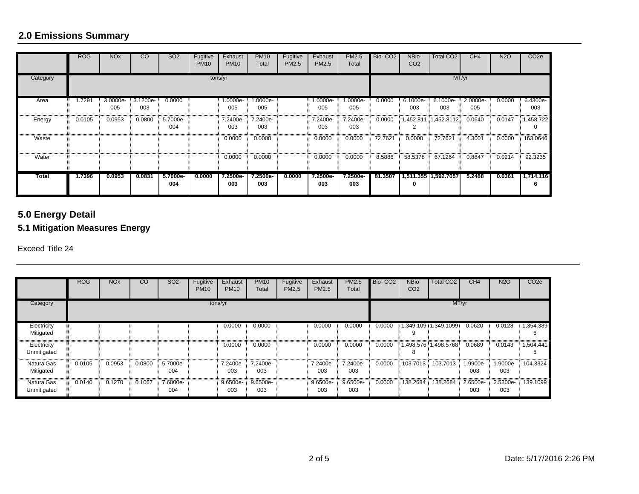## **2.0 Emissions Summary**

|              | <b>ROG</b> | <b>NO<sub>x</sub></b> | $\overline{c}$  | <b>SO2</b>      | Fugitive<br><b>PM10</b> | Exhaust<br><b>PM10</b> | <b>PM10</b><br>Total | Fugitive<br><b>PM2.5</b> | Exhaust<br>PM2.5 | <b>PM2.5</b><br>Total | Bio-CO <sub>2</sub> | NBio-<br>CO <sub>2</sub> | <b>Total CO2</b>     | CH4             | <b>N2O</b> | CO <sub>2e</sub>         |
|--------------|------------|-----------------------|-----------------|-----------------|-------------------------|------------------------|----------------------|--------------------------|------------------|-----------------------|---------------------|--------------------------|----------------------|-----------------|------------|--------------------------|
| Category     |            | tons/yr               |                 |                 |                         |                        |                      |                          |                  |                       |                     |                          |                      | MT/yr           |            |                          |
| Area         | 1.7291     | 3.0000e-<br>005       | 3.1200e-<br>003 | 0.0000          |                         | 1.0000e-<br>005        | 1.0000e-<br>005      |                          | 1.0000e-<br>005  | 1.0000e-<br>005       | 0.0000              | 6.1000e-<br>003          | 6.1000e-<br>003      | 2.0000e-<br>005 | 0.0000     | 6.4300e-<br>003          |
| Energy       | 0.0105     | 0.0953                | 0.0800          | 5.7000e-<br>004 |                         | 7.2400e-<br>003        | 7.2400e-<br>003      |                          | 7.2400e-<br>003  | 7.2400e-<br>003       | 0.0000              | 2                        | 1,452.811 1,452.8112 | 0.0640          | 0.0147     | 1,458.722<br>$\mathbf 0$ |
| Waste        |            |                       |                 |                 |                         | 0.0000                 | 0.0000               |                          | 0.0000           | 0.0000                | 72.7621             | 0.0000                   | 72.7621              | 4.3001          | 0.0000     | 163.0646                 |
| Water        |            |                       |                 |                 |                         | 0.0000                 | 0.0000               |                          | 0.0000           | 0.0000                | 8.5886              | 58.5378                  | 67.1264              | 0.8847          | 0.0214     | 92.3235                  |
| <b>Total</b> | 1.7396     | 0.0953                | 0.0831          | 5.7000e-<br>004 | 0.0000                  | 7.2500e-<br>003        | 7.2500e-<br>003      | 0.0000                   | 7.2500e-<br>003  | 7.2500e-<br>003       | 81.3507             | 0                        | 1,511.355 1,592.7057 | 5.2488          | 0.0361     | 1,714.116<br>6           |

## **5.0 Energy Detail**

## **5.1 Mitigation Measures Energy**

Exceed Title 24

|                                  | <b>ROG</b> | <b>NO<sub>x</sub></b> | $\overline{c}$ | SO <sub>2</sub> | Fugitive<br><b>PM10</b> | Exhaust<br><b>PM10</b> | <b>PM10</b><br>Total | Fugitive<br><b>PM2.5</b> | Exhaust<br>PM2.5 | <b>PM2.5</b><br>Total | Bio-CO <sub>2</sub> | NBio-<br>CO <sub>2</sub> | Total CO <sub>2</sub> | CH4             | <b>N2O</b>      | CO <sub>2e</sub> |
|----------------------------------|------------|-----------------------|----------------|-----------------|-------------------------|------------------------|----------------------|--------------------------|------------------|-----------------------|---------------------|--------------------------|-----------------------|-----------------|-----------------|------------------|
| Category                         | tons/yr    |                       |                |                 |                         |                        |                      |                          | MT/yr            |                       |                     |                          |                       |                 |                 |                  |
| Electricity<br>Mitigated         |            |                       |                |                 |                         | 0.0000                 | 0.0000               |                          | 0.0000           | 0.0000                | 0.0000              | 9                        | 1,349.109 1,349.1099  | 0.0620          | 0.0128          | 1,354.389<br>6   |
| Electricity<br>Unmitigated       |            |                       |                |                 |                         | 0.0000                 | 0.0000               |                          | 0.0000           | 0.0000                | 0.0000              | 8                        | 1,498.576 1,498.5768  | 0.0689          | 0.0143          | 1,504.441<br>Ð   |
| <b>NaturalGas</b><br>Mitigated   | 0.0105     | 0.0953                | 0.0800         | 5.7000e-<br>004 |                         | 7.2400e-<br>003        | 7.2400e-<br>003      |                          | 7.2400e-<br>003  | 7.2400e-<br>003       | 0.0000              | 103.7013                 | 103.7013              | .9900e-<br>003  | 1.9000e-<br>003 | 104.3324         |
| <b>NaturalGas</b><br>Unmitigated | 0.0140     | 0.1270                | 0.1067         | 7.6000e-<br>004 |                         | 9.6500e-<br>003        | 9.6500e-<br>003      |                          | 9.6500e-<br>003  | 9.6500e-<br>003       | 0.0000              | 138.2684                 | 138.2684              | 2.6500e-<br>003 | 2.5300e-<br>003 | 139.1099         |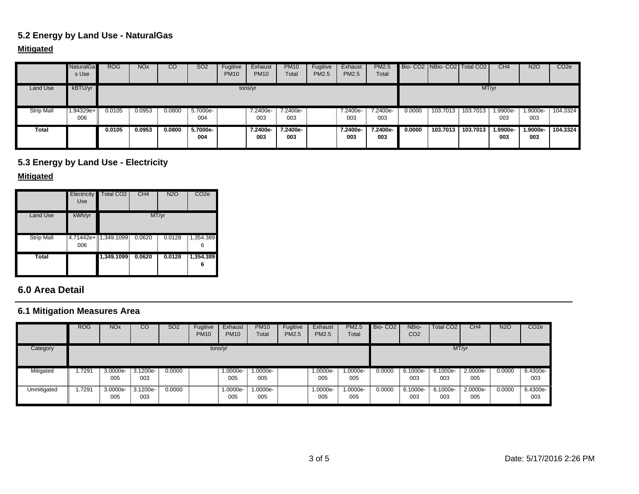## **5.2 Energy by Land Use - NaturalGas**

#### **Mitigated**

|                   | <b>NaturalGa</b><br>s Use | <b>ROG</b> | <b>NO<sub>x</sub></b> | CO     | SO <sub>2</sub> | Fugitive<br><b>PM10</b> | Exhaust<br><b>PM10</b> | <b>PM10</b><br>Total | Fugitive<br>PM2.5 | Exhaust<br>PM2.5 | <b>PM2.5</b><br>Total |        | Bio-CO2 NBio-CO2   Total CO2 |          | CH <sub>4</sub> | <b>N2O</b>      | CO <sub>2e</sub> |
|-------------------|---------------------------|------------|-----------------------|--------|-----------------|-------------------------|------------------------|----------------------|-------------------|------------------|-----------------------|--------|------------------------------|----------|-----------------|-----------------|------------------|
| Land Use          | kBTU/yr                   |            |                       |        |                 |                         | tons/yr                |                      |                   |                  |                       |        |                              | MT/yr    |                 |                 |                  |
| <b>Strip Mall</b> | 1.94329e+<br>006          | 0.0105     | 0.0953                | 0.0800 | 5.7000e-<br>004 |                         | 7.2400e-<br>003        | 7.2400e-<br>003      |                   | 7.2400e-<br>003  | 7.2400e-<br>003       | 0.0000 | 103.7013                     | 103.7013 | .9900e-<br>003  | 1.9000e-<br>003 | 104.3324         |
| Total             |                           | 0.0105     | 0.0953                | 0.0800 | 5.7000e-<br>004 |                         | 7.2400e-<br>003        | 7.2400e-<br>003      |                   | 7.2400e-<br>003  | 7.2400e-<br>003       | 0.0000 | 103.7013                     | 103.7013 | 1.9900e-<br>003 | 1.9000e-<br>003 | 104.3324         |

## **5.3 Energy by Land Use - Electricity**

#### **Mitigated**

|                   | Electricity<br>Use | <b>Total CO2</b>        | CH4    | <b>N2O</b> | CO <sub>2e</sub> |
|-------------------|--------------------|-------------------------|--------|------------|------------------|
| Land Use          | kWh/yr             |                         |        | MT/yr      |                  |
| <b>Strip Mall</b> | 006                | $4.71442e + 1,349.1099$ | 0.0620 | 0.0128     | 1,354.389<br>6   |
| Total             |                    | 1,349.1099              | 0.0620 | 0.0128     | 1,354.389<br>6   |

#### **6.0 Area Detail**

## **6.1 Mitigation Measures Area**

|             | <b>ROG</b> | <b>NO<sub>x</sub></b> | CO                | SO <sub>2</sub> | Fugitive<br><b>PM10</b> | Exhaust<br><b>PM10</b> | <b>PM10</b><br>Total | Fugitive<br>PM2.5 | Exhaust<br><b>PM2.5</b> | <b>PM2.5</b><br>Total | Bio-CO <sub>2</sub> | NBio-<br>CO <sub>2</sub> | Total CO <sub>2</sub> | CH <sub>4</sub> | <b>N2O</b> | CO <sub>2e</sub> |
|-------------|------------|-----------------------|-------------------|-----------------|-------------------------|------------------------|----------------------|-------------------|-------------------------|-----------------------|---------------------|--------------------------|-----------------------|-----------------|------------|------------------|
| Category    |            |                       |                   |                 | tons/yr                 |                        |                      |                   |                         |                       |                     |                          |                       | MT/yr           |            |                  |
| Mitigated   | .7291      | $3.0000e-$<br>005     | $3.1200e-$<br>003 | 0.0000          |                         | $1.0000e-$<br>005      | 1.0000e-<br>005      |                   | 1.0000e-<br>005         | $1.0000e-$<br>005     | 0.0000              | 6.1000e-<br>003          | 6.1000e-<br>003       | 2.0000e-<br>005 | 0.0000     | 6.4300e-<br>003  |
| Unmitigated | .7291      | 3.0000e-<br>005       | 3.1200e-<br>003   | 0.0000          |                         | 1.0000e-<br>005        | 1.0000e-<br>005      |                   | 1.0000e-<br>005         | -.0000e<br>005        | 0.0000              | 6.1000e-<br>003          | 6.1000e-<br>003       | 2.0000e-<br>005 | 0.0000     | 6.4300e-<br>003  |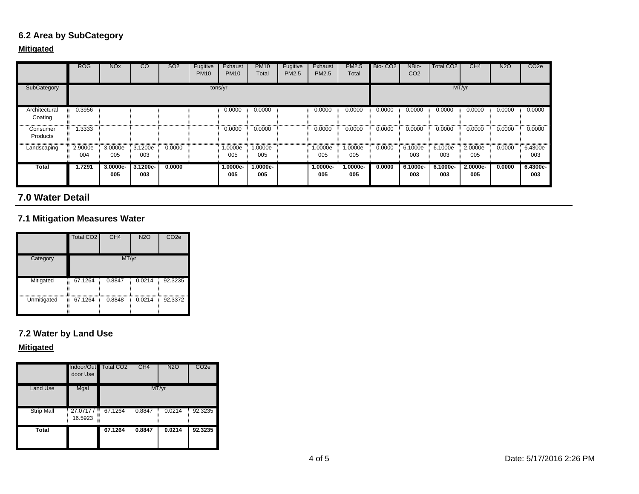## **6.2 Area by SubCategory**

#### **Mitigated**

|                          | <b>ROG</b>      | <b>NO<sub>x</sub></b> | $\overline{c}$    | SO <sub>2</sub> | Fugitive<br><b>PM10</b> | Exhaust<br><b>PM10</b> | <b>PM10</b><br>Total | Fugitive<br><b>PM2.5</b> | Exhaust<br><b>PM2.5</b> | <b>PM2.5</b><br>Total | Bio-CO <sub>2</sub> | NBio-<br>CO <sub>2</sub> | Total CO2       | CH <sub>4</sub> | <b>N2O</b> | CO <sub>2e</sub> |
|--------------------------|-----------------|-----------------------|-------------------|-----------------|-------------------------|------------------------|----------------------|--------------------------|-------------------------|-----------------------|---------------------|--------------------------|-----------------|-----------------|------------|------------------|
| SubCategory              |                 | tons/yr               |                   |                 |                         |                        |                      |                          |                         | MT/yr                 |                     |                          |                 |                 |            |                  |
| Architectural<br>Coating | 0.3956          |                       |                   |                 |                         | 0.0000                 | 0.0000               |                          | 0.0000                  | 0.0000                | 0.0000              | 0.0000                   | 0.0000          | 0.0000          | 0.0000     | 0.0000           |
| Consumer<br>Products     | 1.3333          |                       |                   |                 |                         | 0.0000                 | 0.0000               |                          | 0.0000                  | 0.0000                | 0.0000              | 0.0000                   | 0.0000          | 0.0000          | 0.0000     | 0.0000           |
| Landscaping              | 2.9000e-<br>004 | 3.0000e-<br>005       | 3.1200e-<br>003   | 0.0000          |                         | 1.0000e-<br>005        | 1.0000e-<br>005      |                          | 1.0000e-<br>005         | 1.0000e-<br>005       | 0.0000              | 6.1000e-<br>003          | 6.1000e-<br>003 | 2.0000e-<br>005 | 0.0000     | 6.4300e-<br>003  |
| Total                    | 1.7291          | 3.0000e-<br>005       | $3.1200e-$<br>003 | 0.0000          |                         | 1.0000e-<br>005        | $.0000e-$<br>005     |                          | $1.0000e-$<br>005       | $1.0000e-$<br>005     | 0.0000              | 6.1000e-<br>003          | 6.1000e-<br>003 | 2.0000e-<br>005 | 0.0000     | 6.4300e-<br>003  |

#### **7.0 Water Detail**

## **7.1 Mitigation Measures Water**

|             | Total CO <sub>2</sub> | CH <sub>4</sub> | <b>N2O</b> | CO <sub>2e</sub> |
|-------------|-----------------------|-----------------|------------|------------------|
| Category    |                       | MT/yr           |            |                  |
| Mitigated   | l<br>67.1264          | 0.8847          | 0.0214     | 92.3235          |
| Unmitigated | Í<br>67.1264<br>I     | 0.8848          | 0.0214     | 92.3372          |

## **7.2 Water by Land Use**

#### **Mitigated**

|                   | Indoor/Out<br>door Use        | Total CO <sub>2</sub> | CH <sub>4</sub> | <b>N2O</b> | CO <sub>2e</sub> |
|-------------------|-------------------------------|-----------------------|-----------------|------------|------------------|
| Land Use          | Mgal                          |                       |                 | MT/yr      |                  |
| <b>Strip Mall</b> | 27.0717/<br>E<br>16.5923<br>I | 67.1264               | 0.8847          | 0.0214     | 92.3235          |
| <b>Total</b>      |                               | 67.1264               | 0.8847          | 0.0214     | 92.3235          |